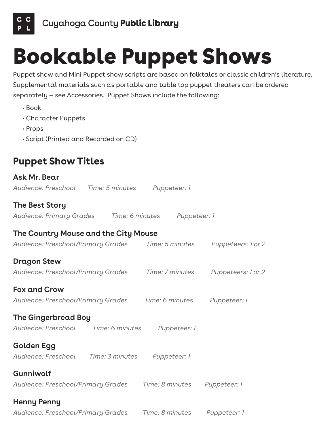

• Book

## Bookable Puppet Shows

Puppet show and Mini Puppet show scripts are based on folktales or classic children's literature. Supplemental materials such as portable and table top puppet theaters can be ordered separately — see Accessories. Puppet Shows include the following:

| · Character Puppets                                                                      |  |  |  |              |
|------------------------------------------------------------------------------------------|--|--|--|--------------|
| $\cdot$ Props                                                                            |  |  |  |              |
| · Script (Printed and Recorded on CD)                                                    |  |  |  |              |
| <b>Puppet Show Titles</b>                                                                |  |  |  |              |
| Ask Mr. Bear                                                                             |  |  |  |              |
| Audience: Preschool Time: 5 minutes Puppeteer: 1                                         |  |  |  |              |
| <b>The Best Story</b>                                                                    |  |  |  |              |
| Audience: Primary Grades Time: 6 minutes Puppeteer: 1                                    |  |  |  |              |
| The Country Mouse and the City Mouse                                                     |  |  |  |              |
| Audience: Preschool/Primary Grades           Time: 5 minutes          Puppeteers: 1 or 2 |  |  |  |              |
| <b>Dragon Stew</b>                                                                       |  |  |  |              |
| Audience: Preschool/Primary Grades           Time: 7 minutes         Puppeteers: 1 or 2  |  |  |  |              |
| <b>Fox and Crow</b>                                                                      |  |  |  |              |
| Audience: Preschool/Primary Grades Time: 6 minutes Puppeteer: 1                          |  |  |  |              |
| <b>The Gingerbread Boy</b>                                                               |  |  |  |              |
| Audience: Preschool Time: 6 minutes Puppeteer: 1                                         |  |  |  |              |
| Golden Egg                                                                               |  |  |  |              |
| Audience: Preschool Time: 3 minutes Puppeteer: 1                                         |  |  |  |              |
| Gunniwolf                                                                                |  |  |  |              |
| Audience: Preschool/Primary Grades         Time: 8 minutes                               |  |  |  | Puppeteer: 1 |
| <b>Henny Penny</b>                                                                       |  |  |  |              |

*Audience: Preschool/Primary Grades Time: 8 minutes Puppeteer: 1*